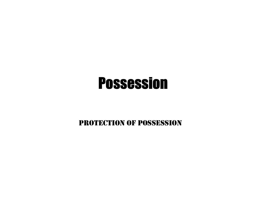# Possession

#### PROTECTION OF POSSESSION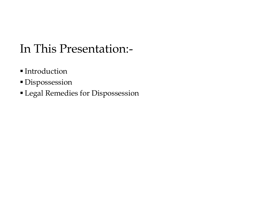# In This Presentation:-

- Introduction
- **Dispossession**
- Legal Remedies for Dispossession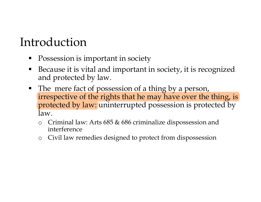# Introduction

- Possession is important in society
- Because it is vital and important in society, it is recognized and protected by law.
- The mere fact of possession of a thing by a person, irrespective of the rights that he may have over the thing, is protected by law: uninterrupted possession is protected by law.
	- o Criminal law: Arts 685 & 686 criminalize dispossession and interference
	- o Civil law remedies designed to protect from dispossession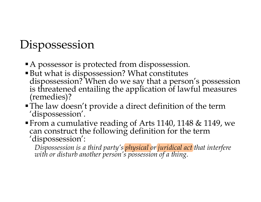# Dispossession

- A possessor is protected from dispossession.
- But what is dispossession? What constitutes dispossession? When do we say that a person's possession is threatened entailing the application of lawful measures (remedies)?
- The law doesn't provide a direct definition of the term 'dispossession'.
- From a cumulative reading of Arts 1140, 1148 & 1149, we can construct the following definition for the term 'dispossession':

Dispossession is a third party's physical or juridical act that interfere with or disturb another person's possession of a thing.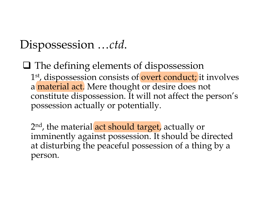$\Box$  The defining elements of dispossession 1 st, dispossession consists of overt conduct; it involves a material act. Mere thought or desire does not constitute dispossession. It will not affect the person's possession actually or potentially.

2<sup>nd</sup>, the material act should target, actually or imminently against possession. It should be directed at disturbing the peaceful possession of a thing by a person.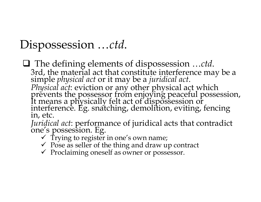$\Box$  The defining elements of dispossession ...ctd. 3rd, the material act that constitute interference may be a simple physical act or it may be a juridical act. *Physical act:* eviction or any other physical act which<br>prevents the possessor from enjoying peaceful possession,<br>It means a physically felt act of dispossession or<br>interference. Eg. snatching, demolition, eviting, fencin

Juridical act: performance of juridical acts that contradict<br>
one's possession. Eg.<br>  $\checkmark$  Trying to register in one's own name;<br>  $\checkmark$  Pose as seller of the thing and draw up contract<br>  $\checkmark$  Proclaiming oneself as owner o

- 
- 
-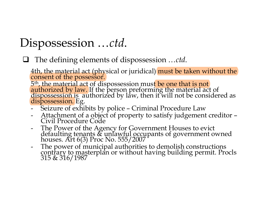The defining elements of dispossession ...*ctd*.

4th, the material act (physical or juridical) must be taken without the consent of the possessor.

5<sup>th</sup>, the material act of dispossession mus<mark>t be one that is not</mark><br>authorized by law. If the person preforming the material act of<br>dispossession is authorized by law, then it will not be considered as<br>dispossession. Eg. **Example 19 Setter Setter Alta (September 19 September 10 September 10 Ath, the material act (physical or juridical) must be taken without the policy of the possession, the material act of dispossession must be one that i Example 15 yoodsect of a object of a summing the defining elements of dispossession** ...ctd.<br>
4th, the material act (physical or juridical) **must be taken without the**<br> **consent of the possessor.**<br> **authorized by law**, I The defining elements of dispossession ...ctd.<br>
4th, the material act (physical or juridical) **must be taken without th**<br>  $5th$ , the material act of dispossession must be one that is not<br>  $5th$ , the material act of disposse 4th, the material act (physical or juridical) **must be taken without the**<br>  $\frac{1}{5}$ <sup>th</sup>, the material act of dispossession must **be one that is not**<br>  $\frac{1}{5}$ <sup>th</sup>, the material act of dispossession is authorized by law,

- 
- 
- 
-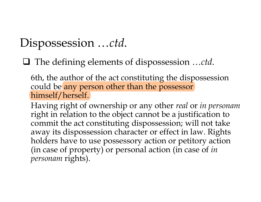$\Box$  The defining elements of dispossession ...ctd.

6th, the author of the act constituting the dispossession could be any person other than the possessor himself/herself.

Having right of ownership or any other real or in personam right in relation to the object cannot be a justification to commit the act constituting dispossession; will not take away its dispossession character or effect in law. Rights holders have to use possessory action or petitory action (in case of property) or personal action (in case of in personam rights).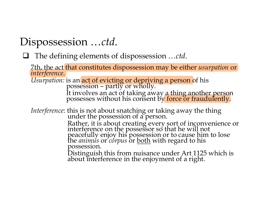$\Box$  The defining elements of dispossession ...ctd.

7th, the act that constitutes dispossession may be either usurpation or interference.

Usurpation: is an act of evicting or depriving a person of his possession - partly or wholly.

It involves an act of taking away a thing another person possesses without his consent by force or fraudulently.

Interference: this is not about snatching or taking away the thing under the possession of a person. Rather, it is about creating every sort of inconvenience or<br>interference on the possessor so that he will not<br>peacefully enjoy his possession or to cause him to lose<br>the *animus* or *corpus* or <u>both</u> with regard to his<br>po

Distinguish this from nuisance under Art 1125 which is about interference in the enjoyment of a right.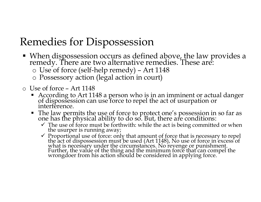# Remedies for Dispossession

- When dispossession occurs as defined above, the law provides a remedy. There are two alternative remedies. These are: medies for Dispossession<br>
When dispossession occurs as defined above, the law provides a<br>
emedy. There are two alternative remedies. These are:<br>  $\circ$  Use of force (self-help remedy) – Art 1148<br>  $\circ$  Possessory action (lega
	-
	- o Possessory action (legal action in court)
- 
- Remedies for Dispossession<br>
 When dispossession occurs as defined above<br>
remedy. There are two alternative remedies.<br>
 Use of force (self-help remedy) Art 1148<br>
 Possessory action (legal action in court)<br>
 Lee of for According to Art 1148 a person who is in an imminent or actual danger of dispossession can use force to repel the act of usurpation or interference.
	- The law permits the use of force to protect one's possession in so far as one has the physical ability to do so. But, there are conditions:
		- The use of force must be forthwith: while the act is being committed or when the usurper is running away;
		- $\checkmark$  Proportional use of force: only that amount of force that is necessary to repel<br>the act of dispossession must be used (Art 1148), No use of force in excess of<br>what is necessary under the circumstances. No revenge or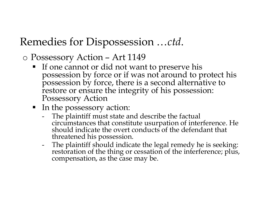#### Remedies for Dispossession …ctd.

- Remedies for Dispossession ...*ctd*.<br>  $\circ$  Possessory Action Art 1149<br> **Exercise 115 Action Art 1149**<br> **Exercise 115 Action**<br> **Exercise 115 Action**<br> **Exercise 115 Action**<br> **Exercise 120**<br> **Exercise 120**<br> **Exercise 120**  If one cannot or did not want to preserve his possession by force or if was not around to protect his possession by force, there is a second alternative to restore or ensure the integrity of his possession: Possessory Action edies for Dispossession ...ctd.<br>
ssessory Action - Art 1149<br>
If one cannot or did not want to preserve his<br>
possession by force or if was not around to protect his<br>
possession by force, there is a second alternative to<br>
re If one cannot or did not want to preserve his<br>possession by force or if was not around to protect his<br>possession by force, there is a second alternative to<br>restore or ensure the integrity of his possession:<br>Possessory Acti
	- In the possessory action:
		- threatened his possession.
		-